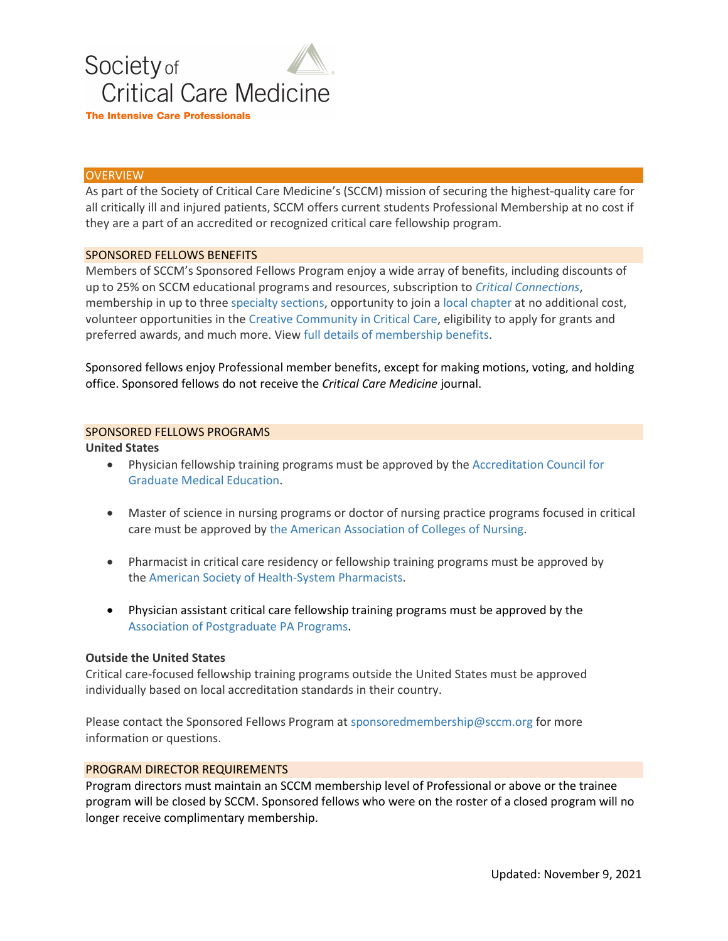

## **OVERVIEW**

As part of the Society of Critical Care Medicine's (SCCM) mission of securing the highest-quality care for all critically ill and injured patients, SCCM offers current students Professional Membership at no cost if they are a part of an accredited or recognized critical care fellowship program.

## SPONSORED FELLOWS BENEFITS

Members of SCCM's Sponsored Fellows Program enjoy a wide array of benefits, including discounts of up to 25% on SCCM educational programs and resources, subscription to *[Critical Connections](http://www.sccm.org/Communications/Critical-Connections)*, membership in up to three [specialty sections,](http://www.sccm.org/Member-Center/Sections) opportunity to join a [local chapter](http://www.sccm.org/Member-Center/Chapters) at no additional cost, volunteer opportunities in the [Creative Community in Critical Care,](http://www.sccm.org/Member-Center/Volunteers) eligibility to apply for grants and preferred awards, and much more. View full details of [membership benefits.](http://www.sccm.org/About-SCCM/Join-SCCM)

Sponsored fellows enjoy Professional member benefits, except for making motions, voting, and holding office. Sponsored fellows do not receive the *Critical Care Medicine* journal.

## SPONSORED FELLOWS PROGRAMS

#### **United States**

- Physician fellowship training programs must be approved by the [Accreditation Council for](https://apps.acgme.org/ads/Public/Programs/Search)  [Graduate Medical Education.](https://apps.acgme.org/ads/Public/Programs/Search)
- Master of science in nursing programs or doctor of nursing practice programs focused in critical care must be approved by [the American Association of Colleges of Nursing](https://www.aacnnursing.org/).
- Pharmacist in critical care residency or fellowship training programs must be approved by the [American Society of Health-System Pharmacists.](https://accred.ashp.org/aps/pages/directory/residencyProgramSearch.aspx)
- Physician assistant critical care fellowship training programs must be approved by the [Association of Postgraduate PA Programs.](https://appap.org/)

#### **Outside the United States**

Critical care-focused fellowship training programs outside the United States must be approved individually based on local accreditation standards in their country.

Please contact the Sponsored Fellows Program at [sponsoredmembership@sccm.org](mailto:sponsoredmembership@sccm.org) for more information or questions.

## PROGRAM DIRECTOR REQUIREMENTS

Program directors must maintain an SCCM membership level of Professional or above or the trainee program will be closed by SCCM. Sponsored fellows who were on the roster of a closed program will no longer receive complimentary membership.